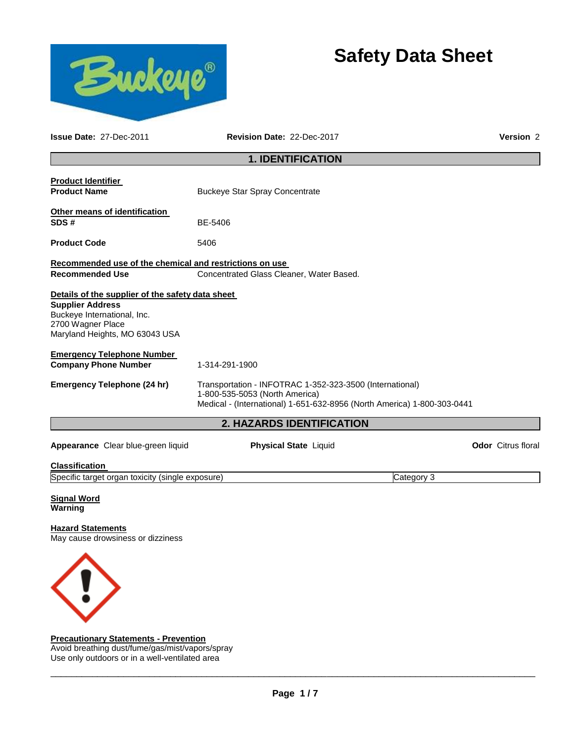

# **Safety Data Sheet**

| <b>Issue Date: 27-Dec-2011</b>                                                                                                                                    | Revision Date: 22-Dec-2017                                                                                                                                            | Version <sub>2</sub>      |
|-------------------------------------------------------------------------------------------------------------------------------------------------------------------|-----------------------------------------------------------------------------------------------------------------------------------------------------------------------|---------------------------|
|                                                                                                                                                                   | <b>1. IDENTIFICATION</b>                                                                                                                                              |                           |
| <b>Product Identifier</b><br><b>Product Name</b>                                                                                                                  | <b>Buckeye Star Spray Concentrate</b>                                                                                                                                 |                           |
| Other means of identification<br>SDS#                                                                                                                             | BE-5406                                                                                                                                                               |                           |
| <b>Product Code</b>                                                                                                                                               | 5406                                                                                                                                                                  |                           |
| Recommended use of the chemical and restrictions on use<br><b>Recommended Use</b>                                                                                 | Concentrated Glass Cleaner, Water Based.                                                                                                                              |                           |
| Details of the supplier of the safety data sheet<br><b>Supplier Address</b><br>Buckeye International, Inc.<br>2700 Wagner Place<br>Maryland Heights, MO 63043 USA |                                                                                                                                                                       |                           |
| <b>Emergency Telephone Number</b><br><b>Company Phone Number</b>                                                                                                  | 1-314-291-1900                                                                                                                                                        |                           |
| Emergency Telephone (24 hr)                                                                                                                                       | Transportation - INFOTRAC 1-352-323-3500 (International)<br>1-800-535-5053 (North America)<br>Medical - (International) 1-651-632-8956 (North America) 1-800-303-0441 |                           |
|                                                                                                                                                                   | 2. HAZARDS IDENTIFICATION                                                                                                                                             |                           |
| Appearance Clear blue-green liquid                                                                                                                                | <b>Physical State Liquid</b>                                                                                                                                          | <b>Odor</b> Citrus floral |
| Classification                                                                                                                                                    |                                                                                                                                                                       |                           |
| Specific target organ toxicity (single exposure)                                                                                                                  |                                                                                                                                                                       | Category 3                |

**Signal Word Warning** 

## **Hazard Statements**

May cause drowsiness or dizziness



## **Precautionary Statements - Prevention**

Avoid breathing dust/fume/gas/mist/vapors/spray Use only outdoors or in a well-ventilated area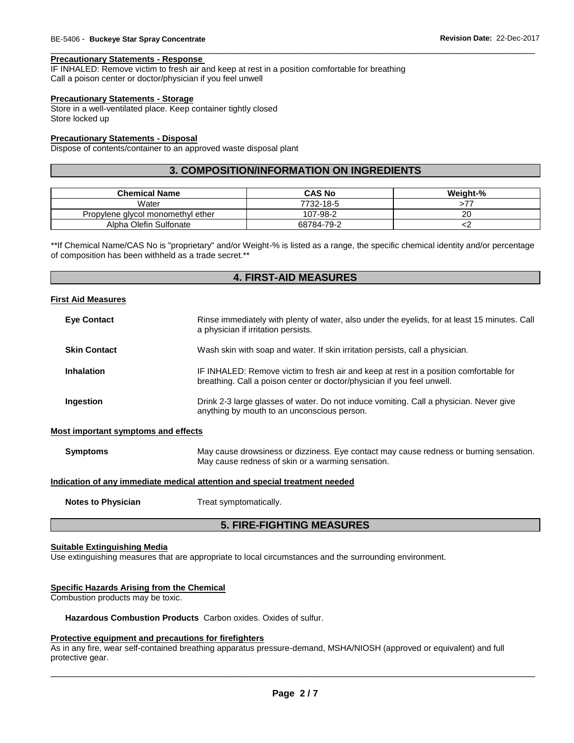#### **Precautionary Statements - Response**

IF INHALED: Remove victim to fresh air and keep at rest in a position comfortable for breathing Call a poison center or doctor/physician if you feel unwell

#### **Precautionary Statements - Storage**

Store in a well-ventilated place. Keep container tightly closed Store locked up

#### **Precautionary Statements - Disposal**

Dispose of contents/container to an approved waste disposal plant

## **3. COMPOSITION/INFORMATION ON INGREDIENTS**

\_\_\_\_\_\_\_\_\_\_\_\_\_\_\_\_\_\_\_\_\_\_\_\_\_\_\_\_\_\_\_\_\_\_\_\_\_\_\_\_\_\_\_\_\_\_\_\_\_\_\_\_\_\_\_\_\_\_\_\_\_\_\_\_\_\_\_\_\_\_\_\_\_\_\_\_\_\_\_\_\_\_\_\_\_\_\_\_\_\_\_\_\_

| <b>Chemical Name</b>              | <b>CAS No</b> | Weight-% |
|-----------------------------------|---------------|----------|
| Water                             | 7732-18-5     |          |
| Propylene glycol monomethyl ether | 107-98-2      | 20       |
| Alpha Olefin Sulfonate            | 68784-79-2    |          |

\*\*If Chemical Name/CAS No is "proprietary" and/or Weight-% is listed as a range, the specific chemical identity and/or percentage of composition has been withheld as a trade secret.\*\*

## **4. FIRST-AID MEASURES**

#### **First Aid Measures**

| <b>Eye Contact</b>                  | Rinse immediately with plenty of water, also under the eyelids, for at least 15 minutes. Call<br>a physician if irritation persists.                             |
|-------------------------------------|------------------------------------------------------------------------------------------------------------------------------------------------------------------|
| <b>Skin Contact</b>                 | Wash skin with soap and water. If skin irritation persists, call a physician.                                                                                    |
| <b>Inhalation</b>                   | IF INHALED: Remove victim to fresh air and keep at rest in a position comfortable for<br>breathing. Call a poison center or doctor/physician if you feel unwell. |
| Ingestion                           | Drink 2-3 large glasses of water. Do not induce vomiting. Call a physician. Never give<br>anything by mouth to an unconscious person.                            |
| Most important symptoms and effects |                                                                                                                                                                  |
| <b>Symptoms</b>                     | May cause drowsiness or dizziness. Eye contact may cause redness or burning sensation.<br>May cause redness of skin or a warming sensation.                      |
|                                     | Indication of any immediate medical attention and special treatment needed                                                                                       |
| <b>Notes to Physician</b>           | Treat symptomatically.                                                                                                                                           |

## **5. FIRE-FIGHTING MEASURES**

#### **Suitable Extinguishing Media**

Use extinguishing measures that are appropriate to local circumstances and the surrounding environment.

## **Specific Hazards Arising from the Chemical**

Combustion products may be toxic.

## **Hazardous Combustion Products** Carbon oxides. Oxides of sulfur.

#### **Protective equipment and precautions for firefighters**

As in any fire, wear self-contained breathing apparatus pressure-demand, MSHA/NIOSH (approved or equivalent) and full protective gear.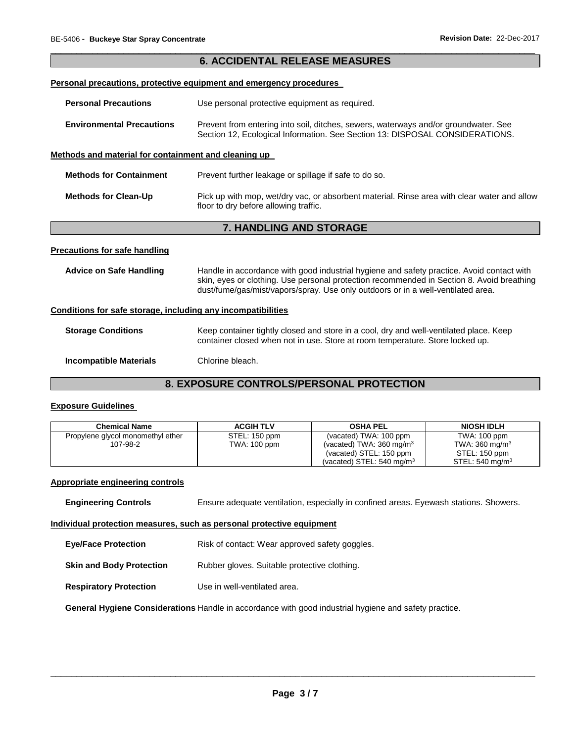## \_\_\_\_\_\_\_\_\_\_\_\_\_\_\_\_\_\_\_\_\_\_\_\_\_\_\_\_\_\_\_\_\_\_\_\_\_\_\_\_\_\_\_\_\_\_\_\_\_\_\_\_\_\_\_\_\_\_\_\_\_\_\_\_\_\_\_\_\_\_\_\_\_\_\_\_\_\_\_\_\_\_\_\_\_\_\_\_\_\_\_\_\_ **6. ACCIDENTAL RELEASE MEASURES Personal precautions, protective equipment and emergency procedures Personal Precautions Use personal protective equipment as required. Environmental Precautions** Prevent from entering into soil, ditches, sewers, waterways and/or groundwater. See Section 12, Ecological Information. See Section 13: DISPOSAL CONSIDERATIONS. **Methods and material for containment and cleaning up Methods for Containment** Prevent further leakage or spillage if safe to do so. **Methods for Clean-Up** Pick up with mop, wet/dry vac, or absorbent material. Rinse area with clear water and allow floor to dry before allowing traffic. **7. HANDLING AND STORAGE Precautions for safe handling Advice on Safe Handling** Handle in accordance with good industrial hygiene and safety practice. Avoid contact with skin, eyes or clothing. Use personal protection recommended in Section 8. Avoid breathing dust/fume/gas/mist/vapors/spray. Use only outdoors or in a well-ventilated area. **Conditions for safe storage, including any incompatibilities Storage Conditions Keep container tightly closed and store in a cool, dry and well-ventilated place. Keep** container closed when not in use. Store at room temperature. Store locked up.

## **Incompatible Materials** Chlorine bleach.

## **8. EXPOSURE CONTROLS/PERSONAL PROTECTION**

## **Exposure Guidelines**

| <b>Chemical Name</b>                          | <b>ACGIH TLV</b>              | <b>OSHA PEL</b>                                                                                                                  | <b>NIOSH IDLH</b>                                                                |
|-----------------------------------------------|-------------------------------|----------------------------------------------------------------------------------------------------------------------------------|----------------------------------------------------------------------------------|
| Propylene glycol monomethyl ether<br>107-98-2 | STEL: 150 ppm<br>TWA: 100 ppm | (vacated) TWA: 100 ppm<br>(vacated) TWA: $360 \text{ mg/m}^3$<br>(vacated) STEL: 150 ppm<br>(vacated) STEL: $540 \text{ ma/m}^3$ | TWA: 100 ppm<br>TWA: $360 \text{ mg/m}^3$<br>STEL: 150 ppm<br>STEL: 540 mg/m $3$ |

## **Appropriate engineering controls**

**Engineering Controls** Ensure adequate ventilation, especially in confined areas. Eyewash stations. Showers.

## **Individual protection measures, such as personal protective equipment**

- **Eye/Face Protection Risk of contact: Wear approved safety goggles.**
- **Skin and Body Protection** Rubber gloves. Suitable protective clothing.
- **Respiratory Protection** Use in well-ventilated area.

**General Hygiene Considerations** Handle in accordance with good industrial hygiene and safety practice.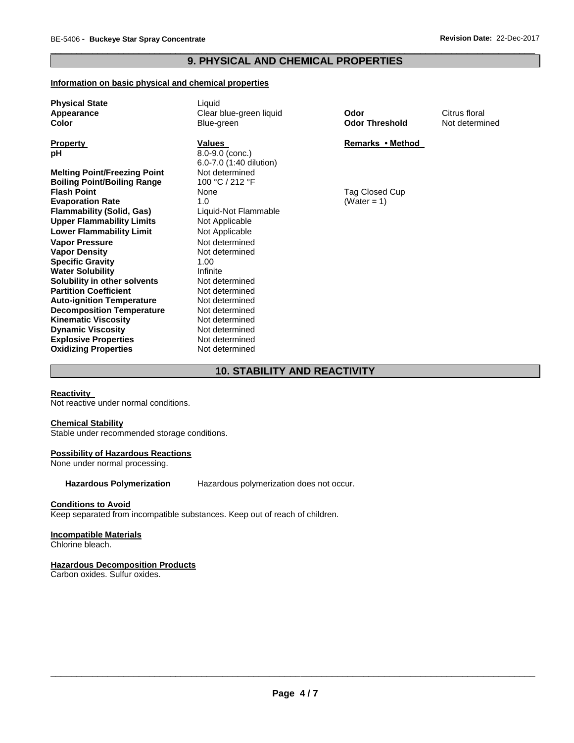## \_\_\_\_\_\_\_\_\_\_\_\_\_\_\_\_\_\_\_\_\_\_\_\_\_\_\_\_\_\_\_\_\_\_\_\_\_\_\_\_\_\_\_\_\_\_\_\_\_\_\_\_\_\_\_\_\_\_\_\_\_\_\_\_\_\_\_\_\_\_\_\_\_\_\_\_\_\_\_\_\_\_\_\_\_\_\_\_\_\_\_\_\_ **9. PHYSICAL AND CHEMICAL PROPERTIES**

## **Information on basic physical and chemical properties**

| <b>Physical State</b><br>Appearance<br><b>Color</b>                  | Liquid<br>Clear blue-green liquid<br>Blue-green                 | Odor<br><b>Odor Threshold</b> | Citrus floral<br>Not determi |
|----------------------------------------------------------------------|-----------------------------------------------------------------|-------------------------------|------------------------------|
| <b>Property</b><br>рH                                                | <b>Values</b><br>$8.0 - 9.0$ (conc.)<br>6.0-7.0 (1:40 dilution) | Remarks • Method              |                              |
| <b>Melting Point/Freezing Point</b>                                  | Not determined                                                  |                               |                              |
| <b>Boiling Point/Boiling Range</b>                                   | 100 °C / 212 °F                                                 |                               |                              |
| <b>Flash Point</b>                                                   | None                                                            | Tag Closed Cup                |                              |
| <b>Evaporation Rate</b>                                              | 1.0                                                             | (Water = 1)                   |                              |
| <b>Flammability (Solid, Gas)</b>                                     | Liquid-Not Flammable                                            |                               |                              |
| <b>Upper Flammability Limits</b>                                     | Not Applicable                                                  |                               |                              |
| <b>Lower Flammability Limit</b>                                      | Not Applicable                                                  |                               |                              |
| <b>Vapor Pressure</b>                                                | Not determined                                                  |                               |                              |
| <b>Vapor Density</b>                                                 | Not determined                                                  |                               |                              |
| <b>Specific Gravity</b>                                              | 1.00                                                            |                               |                              |
| <b>Water Solubility</b>                                              | Infinite                                                        |                               |                              |
| Solubility in other solvents                                         | Not determined                                                  |                               |                              |
| <b>Partition Coefficient</b>                                         | Not determined<br>Not determined                                |                               |                              |
| <b>Auto-ignition Temperature</b><br><b>Decomposition Temperature</b> | Not determined                                                  |                               |                              |
| <b>Kinematic Viscosity</b>                                           | Not determined                                                  |                               |                              |
| <b>Dynamic Viscosity</b>                                             | Not determined                                                  |                               |                              |
| <b>Explosive Properties</b>                                          | Not determined                                                  |                               |                              |
| <b>Oxidizing Properties</b>                                          | Not determined                                                  |                               |                              |
|                                                                      |                                                                 |                               |                              |

**Odor Threshold** Not determined

#### **Remarks • Method**

## **10. STABILITY AND REACTIVITY**

#### **Reactivity**

Not reactive under normal conditions.

#### **Chemical Stability**

Stable under recommended storage conditions.

## **Possibility of Hazardous Reactions**

None under normal processing.

**Hazardous Polymerization** Hazardous polymerization does not occur.

## **Conditions to Avoid**

Keep separated from incompatible substances. Keep out of reach of children.

## **Incompatible Materials**

Chlorine bleach.

#### **Hazardous Decomposition Products**

Carbon oxides. Sulfur oxides.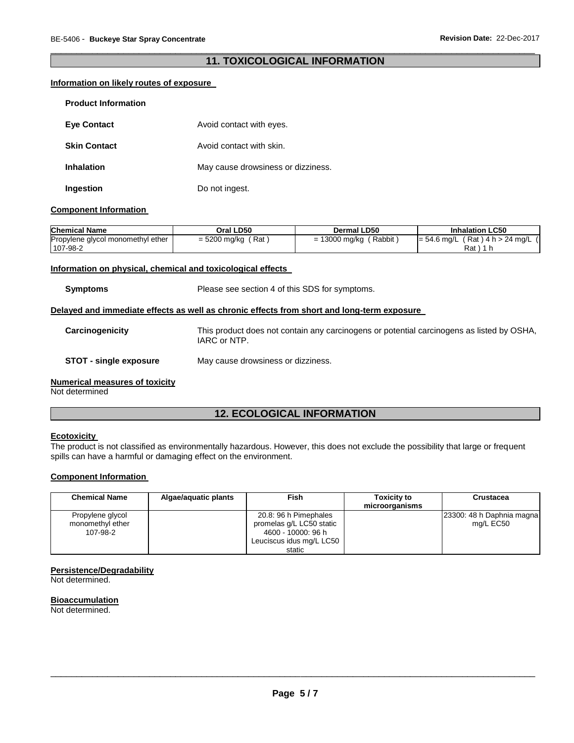## \_\_\_\_\_\_\_\_\_\_\_\_\_\_\_\_\_\_\_\_\_\_\_\_\_\_\_\_\_\_\_\_\_\_\_\_\_\_\_\_\_\_\_\_\_\_\_\_\_\_\_\_\_\_\_\_\_\_\_\_\_\_\_\_\_\_\_\_\_\_\_\_\_\_\_\_\_\_\_\_\_\_\_\_\_\_\_\_\_\_\_\_\_ **11. TOXICOLOGICAL INFORMATION**

## **Information on likely routes of exposure**

| <b>Product Information</b> |                                    |
|----------------------------|------------------------------------|
| <b>Eye Contact</b>         | Avoid contact with eyes.           |
| <b>Skin Contact</b>        | Avoid contact with skin.           |
| <b>Inhalation</b>          | May cause drowsiness or dizziness. |
| Ingestion                  | Do not ingest.                     |

## **Component Information**

| <b>Chemical Name</b>                          | Oral LD50           | <b>Dermal LD50</b>      | <b>Inhalation LC50</b>                                |
|-----------------------------------------------|---------------------|-------------------------|-------------------------------------------------------|
| Propylene glycol monomethyl ether<br>107-98-2 | Rat<br>= 5200 mg/kg | Rabbit<br>= 13000 mg/kg | $(Rat)$ 4 h > 24 mg/L $($<br>$I = 54.6$ mg/L (<br>Rat |

## **Information on physical, chemical and toxicological effects**

**Symptoms** Please see section 4 of this SDS for symptoms.

## **Delayed and immediate effects as well as chronic effects from short and long-term exposure**

- **Carcinogenicity** This product does not contain any carcinogens or potential carcinogens as listed by OSHA, IARC or NTP.
- **STOT - single exposure** May cause drowsiness or dizziness.

## **Numerical measures of toxicity**

Not determined

## **12. ECOLOGICAL INFORMATION**

## **Ecotoxicity**

The product is not classified as environmentally hazardous. However, this does not exclude the possibility that large or frequent spills can have a harmful or damaging effect on the environment.

## **Component Information**

| <b>Chemical Name</b>                             | Algae/aguatic plants | Fish                                                                                                | <b>Toxicity to</b><br>microorganisms | <b>Crustacea</b>                       |
|--------------------------------------------------|----------------------|-----------------------------------------------------------------------------------------------------|--------------------------------------|----------------------------------------|
| Propylene glycol<br>monomethyl ether<br>107-98-2 |                      | 20.8: 96 h Pimephales<br>promelas g/L LC50 static<br>4600 - 10000: 96 h<br>Leuciscus idus mg/L LC50 |                                      | 23300: 48 h Daphnia magna<br>mg/L EC50 |
|                                                  |                      | static                                                                                              |                                      |                                        |

#### **Persistence/Degradability**

Not determined.

## **Bioaccumulation**

Not determined.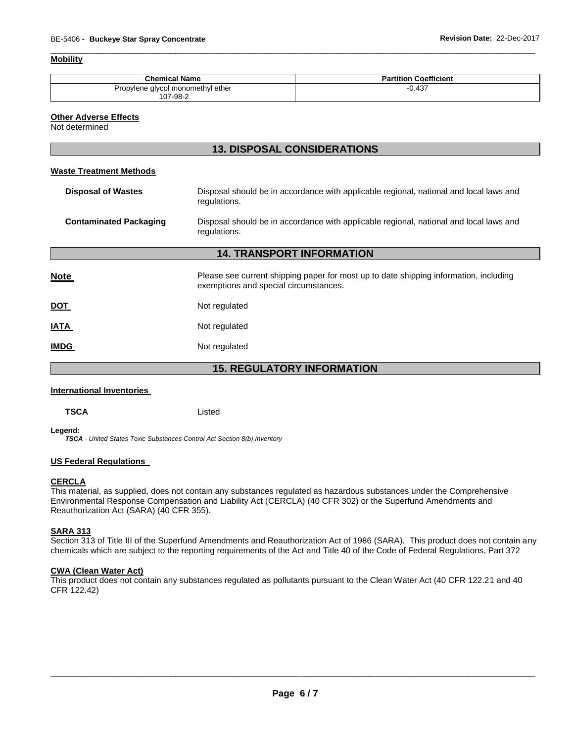## **Mobility**

| <b>Chemical Name</b>              | <b>Partition Coefficient</b> |
|-----------------------------------|------------------------------|
| Propylene glycol monomethyl ether | 0.437                        |
| 107-98-2                          |                              |

\_\_\_\_\_\_\_\_\_\_\_\_\_\_\_\_\_\_\_\_\_\_\_\_\_\_\_\_\_\_\_\_\_\_\_\_\_\_\_\_\_\_\_\_\_\_\_\_\_\_\_\_\_\_\_\_\_\_\_\_\_\_\_\_\_\_\_\_\_\_\_\_\_\_\_\_\_\_\_\_\_\_\_\_\_\_\_\_\_\_\_\_\_

#### **Other Adverse Effects**

Not determined

L

## **13. DISPOSAL CONSIDERATIONS**

## **Waste Treatment Methods**

| <b>Disposal of Wastes</b>         | Disposal should be in accordance with applicable regional, national and local laws and<br>regulations.                         |  |  |
|-----------------------------------|--------------------------------------------------------------------------------------------------------------------------------|--|--|
| <b>Contaminated Packaging</b>     | Disposal should be in accordance with applicable regional, national and local laws and<br>regulations.                         |  |  |
|                                   | <b>14. TRANSPORT INFORMATION</b>                                                                                               |  |  |
| <b>Note</b>                       | Please see current shipping paper for most up to date shipping information, including<br>exemptions and special circumstances. |  |  |
| <b>DOT</b>                        | Not regulated                                                                                                                  |  |  |
| <b>IATA</b>                       | Not regulated                                                                                                                  |  |  |
| <b>IMDG</b>                       | Not regulated                                                                                                                  |  |  |
| <b>15. REGULATORY INFORMATION</b> |                                                                                                                                |  |  |

#### **International Inventories**

**TSCA** Listed

**Legend:** 

*TSCA - United States Toxic Substances Control Act Section 8(b) Inventory* 

## **US Federal Regulations**

#### **CERCLA**

This material, as supplied, does not contain any substances regulated as hazardous substances under the Comprehensive Environmental Response Compensation and Liability Act (CERCLA) (40 CFR 302) or the Superfund Amendments and Reauthorization Act (SARA) (40 CFR 355).

## **SARA 313**

Section 313 of Title III of the Superfund Amendments and Reauthorization Act of 1986 (SARA). This product does not contain any chemicals which are subject to the reporting requirements of the Act and Title 40 of the Code of Federal Regulations, Part 372

## **CWA (Clean Water Act)**

This product does not contain any substances regulated as pollutants pursuant to the Clean Water Act (40 CFR 122.21 and 40 CFR 122.42)